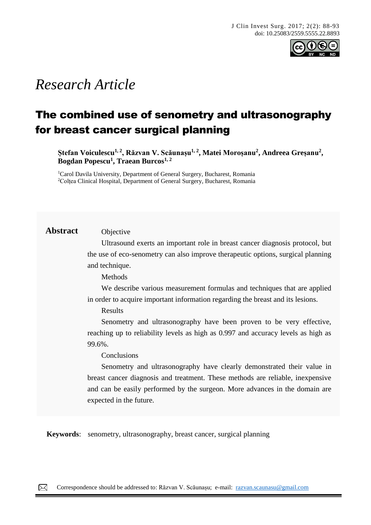

# *Research Article*

# The combined use of senometry and ultrasonography for breast cancer surgical planning

**Ștefan Voiculescu1, 2, Răzvan V. Scăunașu1, 2 , Matei Moroșanu<sup>2</sup> , Andreea Greșanu<sup>2</sup> , Bogdan Popescu<sup>1</sup> , Traean Burcos1, 2**

<sup>1</sup>Carol Davila University, Department of General Surgery, Bucharest, Romania <sup>2</sup>Colțea Clinical Hospital, Department of General Surgery, Bucharest, Romania

# **Abstract** Objective

Ultrasound exerts an important role in breast cancer diagnosis protocol, but the use of eco-senometry can also improve therapeutic options, surgical planning and technique.

Methods

We describe various measurement formulas and techniques that are applied in order to acquire important information regarding the breast and its lesions.

Results

Senometry and ultrasonography have been proven to be very effective, reaching up to reliability levels as high as 0.997 and accuracy levels as high as 99.6%.

Conclusions

Senometry and ultrasonography have clearly demonstrated their value in breast cancer diagnosis and treatment. These methods are reliable, inexpensive and can be easily performed by the surgeon. More advances in the domain are expected in the future.

**Keywords**: senometry, ultrasonography, breast cancer, surgical planning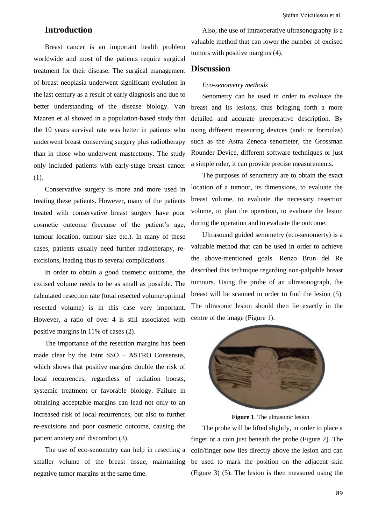# **Introduction**

Breast cancer is an important health problem worldwide and most of the patients require surgical treatment for their disease. The surgical management of breast neoplasia underwent significant evolution in the last century as a result of early diagnosis and due to better understanding of the disease biology. Van Maaren et al showed in a population-based study that the 10 years survival rate was better in patients who underwent breast conserving surgery plus radiotherapy than in those who underwent mastectomy. The study only included patients with early-stage breast cancer (1).

Conservative surgery is more and more used in treating these patients. However, many of the patients treated with conservative breast surgery have poor cosmetic outcome (because of the patient's age, tumour location, tumour size etc.). In many of these cases, patients usually need further radiotherapy, reexcisions, leading thus to several complications.

In order to obtain a good cosmetic outcome, the excised volume needs to be as small as possible. The calculated resection rate (total resected volume/optimal resected volume) is in this case very important. However, a ratio of over 4 is still associated with positive margins in 11% of cases (2).

The importance of the resection margins has been made clear by the Joint SSO – ASTRO Consensus, which shows that positive margins double the risk of local recurrences, regardless of radiation boosts, systemic treatment or favorable biology. Failure in obtaining acceptable margins can lead not only to an increased risk of local recurrences, but also to further re-excisions and poor cosmetic outcome, causing the patient anxiety and discomfort (3).

The use of eco-senometry can help in resecting a smaller volume of the breast tissue, maintaining negative tumor margins at the same time.

Also, the use of intraoperative ultrasonography is a valuable method that can lower the number of excised tumors with positive margins (4).

# **Discussion**

### *Eco-senometry methods*

Senometry can be used in order to evaluate the breast and its lesions, thus bringing forth a more detailed and accurate preoperative description. By using different measuring devices (and/ or formulas) such as the Astra Zeneca senometer, the Grossman Rounder Device, different software techniques or just a simple ruler, it can provide precise measurements.

The purposes of senometry are to obtain the exact location of a tumour, its dimensions, to evaluate the breast volume, to evaluate the necessary resection volume, to plan the operation, to evaluate the lesion during the operation and to evaluate the outcome.

Ultrasound guided senometry (eco-senomerty) is a valuable method that can be used in order to achieve the above-mentioned goals. Renzo Brun del Re described this technique regarding non-palpable breast tumours. Using the probe of an ultrasonograph, the breast will be scanned in order to find the lesion (5). The ultrasonic lesion should then lie exactly in the centre of the image (Figure 1).



**Figure 1**. The ultrasonic lesion

The probe will be lifted slightly, in order to place a finger or a coin just beneath the probe (Figure 2). The coin/finger now lies directly above the lesion and can be used to mark the position on the adjacent skin (Figure 3) (5). The lesion is then measured using the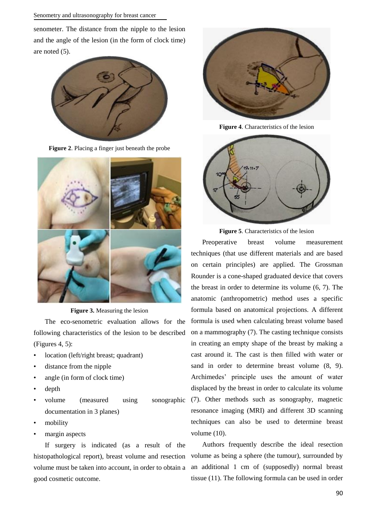#### Senometry and ultrasonography for breast cancer

senometer. The distance from the nipple to the lesion and the angle of the lesion (in the form of clock time) are noted (5).



**Figure 2**. Placing a finger just beneath the probe



**Figure 3.** Measuring the lesion

The eco-senometric evaluation allows for the following characteristics of the lesion to be described (Figures 4, 5):

- location (left/right breast; quadrant)
- distance from the nipple
- angle (in form of clock time)
- depth
- volume (measured using sonographic documentation in 3 planes)
- mobility
- margin aspects

If surgery is indicated (as a result of the histopathological report), breast volume and resection volume must be taken into account, in order to obtain a good cosmetic outcome.



**Figure 4**. Characteristics of the lesion





Preoperative breast volume measurement techniques (that use different materials and are based on certain principles) are applied. The Grossman Rounder is a cone-shaped graduated device that covers the breast in order to determine its volume (6, 7). The anatomic (anthropometric) method uses a specific formula based on anatomical projections. A different formula is used when calculating breast volume based on a mammography (7). The casting technique consists in creating an empty shape of the breast by making a cast around it. The cast is then filled with water or sand in order to determine breast volume (8, 9). Archimedes' principle uses the amount of water displaced by the breast in order to calculate its volume (7). Other methods such as sonography, magnetic resonance imaging (MRI) and different 3D scanning techniques can also be used to determine breast volume (10).

Authors frequently describe the ideal resection volume as being a sphere (the tumour), surrounded by an additional 1 cm of (supposedly) normal breast tissue (11). The following formula can be used in order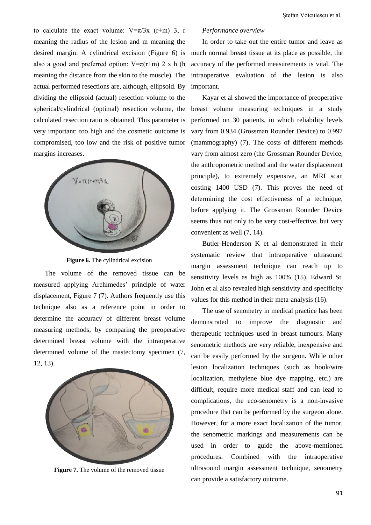to calculate the exact volume:  $V=\pi/3x$  (r+m) 3, r meaning the radius of the lesion and m meaning the also a good and preferred option:  $V=\pi(r+m)$  2 x h (h meaning the distance from the skin to the muscle). The actual performed resections are, although, ellipsoid. By dividing the ellipsoid (actual) resection volume to the spherical/cylindrical (optimal) resection volume, the calculated resection ratio is obtained. This parameter is very important: too high and the cosmetic outcome is compromised, too low and the risk of positive tumor margins increases.



**Figure 6.** The cylindrical excision

The volume of the removed tissue can be measured applying Archimedes' principle of water displacement, Figure 7 (7). Authors frequently use this technique also as a reference point in order to determine the accuracy of different breast volume measuring methods, by comparing the preoperative determined breast volume with the intraoperative determined volume of the mastectomy specimen (7, 12, 13).



**Figure 7.** The volume of the removed tissue

#### *Performance overview*

desired margin. A cylindrical excision (Figure 6) is much normal breast tissue at its place as possible, the In order to take out the entire tumor and leave as accuracy of the performed measurements is vital. The intraoperative evaluation of the lesion is also important.

> Kayar et al showed the importance of preoperative breast volume measuring techniques in a study performed on 30 patients, in which reliability levels vary from 0.934 (Grossman Rounder Device) to 0.997 (mammography) (7). The costs of different methods vary from almost zero (the Grossman Rounder Device, the anthropometric method and the water displacement principle), to extremely expensive, an MRI scan costing 1400 USD (7). This proves the need of determining the cost effectiveness of a technique, before applying it. The Grossman Rounder Device seems thus not only to be very cost-effective, but very convenient as well (7, 14).

> Butler-Henderson K et al demonstrated in their systematic review that intraoperative ultrasound margin assessment technique can reach up to sensitivity levels as high as 100% (15). Edward St. John et al also revealed high sensitivity and specificity values for this method in their meta-analysis (16).

> The use of senometry in medical practice has been demonstrated to improve the diagnostic and therapeutic techniques used in breast tumours. Many senometric methods are very reliable, inexpensive and can be easily performed by the surgeon. While other lesion localization techniques (such as hook/wire localization, methylene blue dye mapping, etc.) are difficult, require more medical staff and can lead to complications, the eco-senometry is a non-invasive procedure that can be performed by the surgeon alone. However, for a more exact localization of the tumor, the senometric markings and measurements can be used in order to guide the above-mentioned procedures. Combined with the intraoperative ultrasound margin assessment technique, senometry can provide a satisfactory outcome.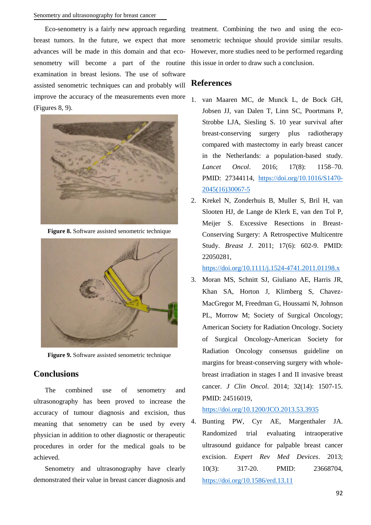Eco-senometry is a fairly new approach regarding treatment. Combining the two and using the ecosenometry will become a part of the routine this issue in order to draw such a conclusion. examination in breast lesions. The use of software assisted senometric techniques can and probably will improve the accuracy of the measurements even more (Figures 8, 9).



**Figure 8.** Software assisted senometric technique



**Figure 9.** Software assisted senometric technique

# **Conclusions**

The combined use of senometry and ultrasonography has been proved to increase the accuracy of tumour diagnosis and excision, thus meaning that senometry can be used by every physician in addition to other diagnostic or therapeutic procedures in order for the medical goals to be achieved.

Senometry and ultrasonography have clearly demonstrated their value in breast cancer diagnosis and

breast tumors. In the future, we expect that more senometric technique should provide similar results. advances will be made in this domain and that eco-However, more studies need to be performed regarding

### **References**

- 1. van Maaren MC, de Munck L, de Bock GH, Jobsen JJ, van Dalen T, Linn SC, Poortmans P, Strobbe LJA, Siesling S. 10 year survival after breast-conserving surgery plus radiotherapy compared with mastectomy in early breast cancer in the Netherlands: a population-based study. *Lancet Oncol*. 2016; 17(8): 1158–70. PMID: 27344114, [https://doi.org/10.1016/S1470-](https://doi.org/10.1016/S1470-2045(16)30067-5) [2045\(16\)30067-5](https://doi.org/10.1016/S1470-2045(16)30067-5)
- 2. Krekel N, Zonderhuis B, Muller S, Bril H, van Slooten HJ, de Lange de Klerk E, van den Tol P, Meijer S. Excessive Resections in Breast-Conserving Surgery: A Retrospective Multicentre Study. *Breast J*. 2011; 17(6): 602-9. PMID: 22050281,

<https://doi.org/10.1111/j.1524-4741.2011.01198.x>

3. Moran MS, Schnitt SJ, Giuliano AE, Harris JR, Khan SA, Horton J, Klimberg S, Chavez-MacGregor M, Freedman G, Houssami N, Johnson PL, Morrow M; Society of Surgical Oncology; American Society for Radiation Oncology. Society of Surgical Oncology-American Society for Radiation Oncology consensus guideline on margins for breast-conserving surgery with wholebreast irradiation in stages I and II invasive breast cancer. *J Clin Oncol*. 2014; 32(14): 1507-15. PMID: 24516019,

#### <https://doi.org/10.1200/JCO.2013.53.3935>

4. Bunting PW, Cyr AE, Margenthaler JA. Randomized trial evaluating intraoperative ultrasound guidance for palpable breast cancer excision. *Expert Rev Med Devices*. 2013; 10(3): 317-20. PMID: 23668704, <https://doi.org/10.1586/erd.13.11>